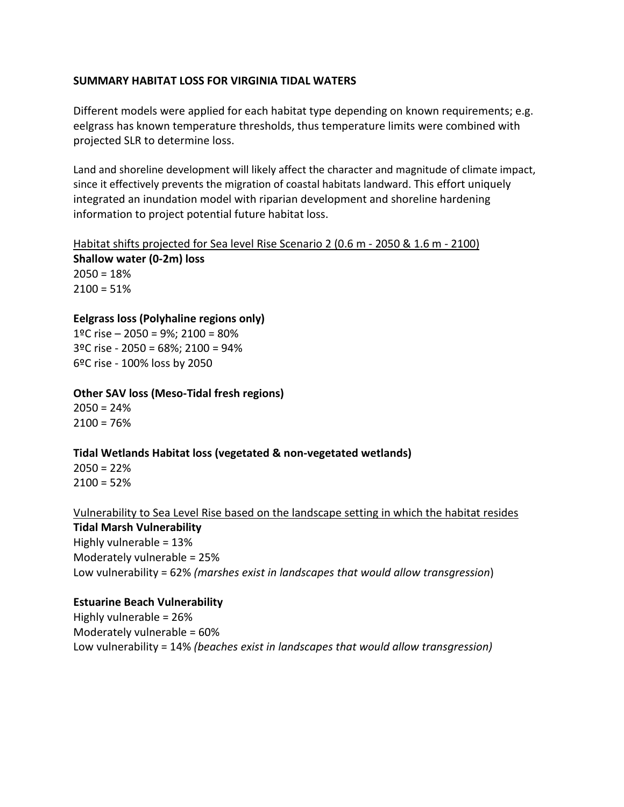# **SUMMARY HABITAT LOSS FOR VIRGINIA TIDAL WATERS**

Different models were applied for each habitat type depending on known requirements; e.g. eelgrass has known temperature thresholds, thus temperature limits were combined with projected SLR to determine loss.

Land and shoreline development will likely affect the character and magnitude of climate impact, since it effectively prevents the migration of coastal habitats landward. This effort uniquely integrated an inundation model with riparian development and shoreline hardening information to project potential future habitat loss.

Habitat shifts projected for Sea level Rise Scenario 2 (0.6 m - 2050 & 1.6 m - 2100) **Shallow water (0-2m) loss**  $2050 = 18%$  $2100 = 51%$ 

## **Eelgrass loss (Polyhaline regions only)**

1ºC rise – 2050 = 9%; 2100 = 80% 3ºC rise - 2050 = 68%; 2100 = 94% 6ºC rise - 100% loss by 2050

### **Other SAV loss (Meso-Tidal fresh regions)**

 $2050 = 24%$  $2100 = 76%$ 

### **Tidal Wetlands Habitat loss (vegetated & non-vegetated wetlands)**

 $2050 = 22%$  $2100 = 52%$ 

### Vulnerability to Sea Level Rise based on the landscape setting in which the habitat resides

### **Tidal Marsh Vulnerability**

Highly vulnerable = 13% Moderately vulnerable = 25% Low vulnerability = 62% *(marshes exist in landscapes that would allow transgression*)

### **Estuarine Beach Vulnerability**

Highly vulnerable = 26% Moderately vulnerable = 60% Low vulnerability = 14% *(beaches exist in landscapes that would allow transgression)*